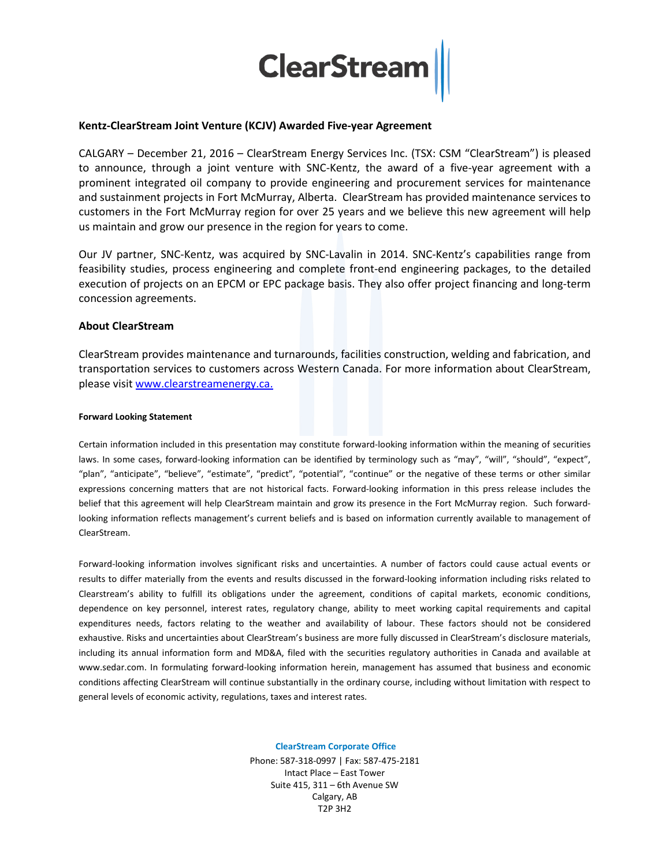

# **Kentz-ClearStream Joint Venture (KCJV) Awarded Five-year Agreement**

CALGARY – December 21, 2016 – ClearStream Energy Services Inc. (TSX: CSM "ClearStream") is pleased to announce, through a joint venture with SNC-Kentz, the award of a five-year agreement with a prominent integrated oil company to provide engineering and procurement services for maintenance and sustainment projects in Fort McMurray, Alberta. ClearStream has provided maintenance services to customers in the Fort McMurray region for over 25 years and we believe this new agreement will help us maintain and grow our presence in the region for years to come.

Our JV partner, SNC-Kentz, was acquired by SNC-Lavalin in 2014. SNC-Kentz's capabilities range from feasibility studies, process engineering and complete front-end engineering packages, to the detailed execution of projects on an EPCM or EPC package basis. They also offer project financing and long-term concession agreements.

# **About ClearStream**

ClearStream provides maintenance and turnarounds, facilities construction, welding and fabrication, and transportation services to customers across Western Canada. For more information about ClearStream, please visit [www.clearstreamenergy.ca.](http://www.clearstreamenergy.ca/)

## **Forward Looking Statement**

Certain information included in this presentation may constitute forward-looking information within the meaning of securities laws. In some cases, forward-looking information can be identified by terminology such as "may", "will", "should", "expect", "plan", "anticipate", "believe", "estimate", "predict", "potential", "continue" or the negative of these terms or other similar expressions concerning matters that are not historical facts. Forward-looking information in this press release includes the belief that this agreement will help ClearStream maintain and grow its presence in the Fort McMurray region. Such forwardlooking information reflects management's current beliefs and is based on information currently available to management of ClearStream.

Forward-looking information involves significant risks and uncertainties. A number of factors could cause actual events or results to differ materially from the events and results discussed in the forward-looking information including risks related to Clearstream's ability to fulfill its obligations under the agreement, conditions of capital markets, economic conditions, dependence on key personnel, interest rates, regulatory change, ability to meet working capital requirements and capital expenditures needs, factors relating to the weather and availability of labour. These factors should not be considered exhaustive. Risks and uncertainties about ClearStream's business are more fully discussed in ClearStream's disclosure materials, including its annual information form and MD&A, filed with the securities regulatory authorities in Canada and available at www.sedar.com. In formulating forward-looking information herein, management has assumed that business and economic conditions affecting ClearStream will continue substantially in the ordinary course, including without limitation with respect to general levels of economic activity, regulations, taxes and interest rates.

### **ClearStream Corporate Office**

Phone: 587-318-0997 | Fax: 587-475-2181 Intact Place – East Tower Suite 415, 311 – 6th Avenue SW Calgary, AB T2P 3H2